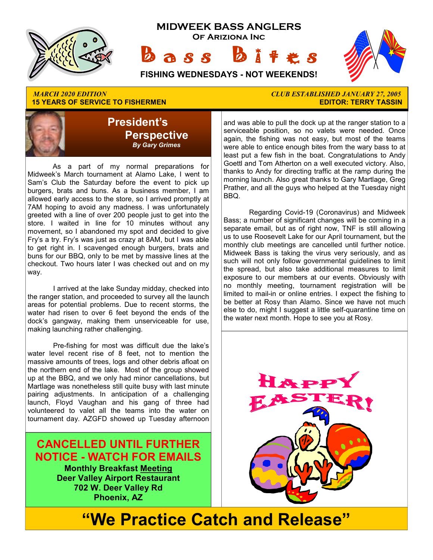

## **15 YEARS OF SERVICE TO FISHERMEN**



 As a part of my normal preparations for Midweek's March tournament at Alamo Lake, I went to Sam's Club the Saturday before the event to pick up burgers, brats and buns. As a business member, I am allowed early access to the store, so I arrived promptly at 7AM hoping to avoid any madness. I was unfortunately greeted with a line of over 200 people just to get into the store. I waited in line for 10 minutes without any movement, so I abandoned my spot and decided to give Fry's a try. Fry's was just as crazy at 8AM, but I was able to get right in. I scavenged enough burgers, brats and buns for our BBQ, only to be met by massive lines at the checkout. Two hours later I was checked out and on my way.

 I arrived at the lake Sunday midday, checked into the ranger station, and proceeded to survey all the launch areas for potential problems. Due to recent storms, the water had risen to over 6 feet beyond the ends of the dock's gangway, making them unserviceable for use, making launching rather challenging.

 Pre-fishing for most was difficult due the lake's water level recent rise of 8 feet, not to mention the massive amounts of trees, logs and other debris afloat on the northern end of the lake. Most of the group showed up at the BBQ, and we only had minor cancellations, but Martlage was nonetheless still quite busy with last minute pairing adjustments. In anticipation of a challenging launch, Floyd Vaughan and his gang of three had volunteered to valet all the teams into the water on tournament day. AZGFD showed up Tuesday afternoon

### **CANCELLED UNTIL FURTHER NOTICE - WATCH FOR EMAILS**

**Monthly Breakfast Meeting Deer Valley Airport Restaurant 702 W. Deer Valley Rd Phoenix, AZ** 

# *MARCH 2020 EDITION CLUB ESTABLISHED JANUARY 27, 2005*

and was able to pull the dock up at the ranger station to a serviceable position, so no valets were needed. Once again, the fishing was not easy, but most of the teams were able to entice enough bites from the wary bass to at least put a few fish in the boat. Congratulations to Andy Goettl and Tom Atherton on a well executed victory. Also, thanks to Andy for directing traffic at the ramp during the morning launch. Also great thanks to Gary Martlage, Greg Prather, and all the guys who helped at the Tuesday night BBQ.

 Regarding Covid-19 (Coronavirus) and Midweek Bass; a number of significant changes will be coming in a separate email, but as of right now, TNF is still allowing us to use Roosevelt Lake for our April tournament, but the monthly club meetings are cancelled until further notice. Midweek Bass is taking the virus very seriously, and as such will not only follow governmental guidelines to limit the spread, but also take additional measures to limit exposure to our members at our events. Obviously with no monthly meeting, tournament registration will be limited to mail-in or online entries. I expect the fishing to be better at Rosy than Alamo. Since we have not much else to do, might I suggest a little self-quarantine time on the water next month. Hope to see you at Rosy.



# **"We Practice Catch and Release"**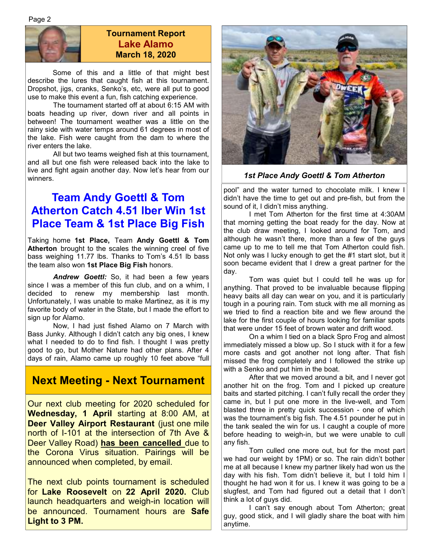

#### **Tournament Report Lake Alamo March 18, 2020**

 Some of this and a little of that might best describe the lures that caught fish at this tournament. Dropshot, jigs, cranks, Senko's, etc, were all put to good use to make this event a fun, fish catching experience.

 The tournament started off at about 6:15 AM with boats heading up river, down river and all points in between! The tournament weather was a little on the rainy side with water temps around 61 degrees in most of the lake. Fish were caught from the dam to where the river enters the lake.

 All but two teams weighed fish at this tournament, and all but one fish were released back into the lake to live and fight again another day. Now let's hear from our winners.

### **Team Andy Goettl & Tom Atherton Catch 4.51 lber Win 1st Place Team & 1st Place Big Fish**

Taking home **1st Place,** Team **Andy Goettl & Tom Atherton** brought to the scales the winning creel of five bass weighing 11.77 lbs. Thanks to Tom's 4.51 lb bass the team also won **1st Place Big Fish** honors.

*Andrew Goettl:* So, it had been a few years since I was a member of this fun club, and on a whim, I decided to renew my membership last month. Unfortunately, I was unable to make Martinez, as it is my favorite body of water in the State, but I made the effort to sign up for Alamo.

 Now, I had just fished Alamo on 7 March with Bass Junky. Although I didn't catch any big ones, I knew what I needed to do to find fish. I thought I was pretty good to go, but Mother Nature had other plans. After 4 days of rain, Alamo came up roughly 10 feet above "full

### **Next Meeting - Next Tournament**

Our next club meeting for 2020 scheduled for **Wednesday, 1 April** starting at 8:00 AM, at **Deer Valley Airport Restaurant (just one mile** north of I-101 at the intersection of 7th Ave & Deer Valley Road) **has been cancelled** due to the Corona Virus situation. Pairings will be announced when completed, by email.

The next club points tournament is scheduled for **Lake Roosevelt** on **22 April 2020.** Club launch headquarters and weigh-in location will be announced. Tournament hours are **Safe Light to 3 PM.** 



*1st Place Andy Goettl & Tom Atherton* 

pool" and the water turned to chocolate milk. I knew I didn't have the time to get out and pre-fish, but from the sound of it, I didn't miss anything.

 I met Tom Atherton for the first time at 4:30AM that morning getting the boat ready for the day. Now at the club draw meeting, I looked around for Tom, and although he wasn't there, more than a few of the guys came up to me to tell me that Tom Atherton could fish. Not only was I lucky enough to get the #1 start slot, but it soon became evident that I drew a great partner for the day.

 Tom was quiet but I could tell he was up for anything. That proved to be invaluable because flipping heavy baits all day can wear on you, and it is particularly tough in a pouring rain. Tom stuck with me all morning as we tried to find a reaction bite and we flew around the lake for the first couple of hours looking for familiar spots that were under 15 feet of brown water and drift wood.

 On a whim I tied on a black Spro Frog and almost immediately missed a blow up. So I stuck with it for a few more casts and got another not long after. That fish missed the frog completely and I followed the strike up with a Senko and put him in the boat.

 After that we moved around a bit, and I never got another hit on the frog. Tom and I picked up creature baits and started pitching. I can't fully recall the order they came in, but I put one more in the live-well, and Tom blasted three in pretty quick succession - one of which was the tournament's big fish. The 4.51 pounder he put in the tank sealed the win for us. I caught a couple of more before heading to weigh-in, but we were unable to cull any fish.

 Tom culled one more out, but for the most part we had our weight by 1PM) or so. The rain didn't bother me at all because I knew my partner likely had won us the day with his fish. Tom didn't believe it, but I told him I thought he had won it for us. I knew it was going to be a slugfest, and Tom had figured out a detail that I don't think a lot of guys did.

 I can't say enough about Tom Atherton; great guy, good stick, and I will gladly share the boat with him anytime.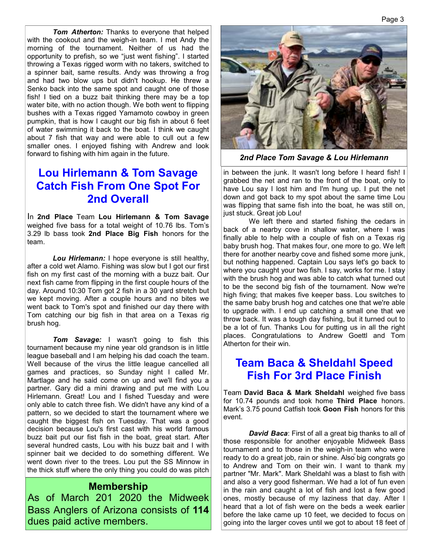*Tom Atherton:* Thanks to everyone that helped with the cookout and the weigh-in team. I met Andy the morning of the tournament. Neither of us had the opportunity to prefish, so we "just went fishing". I started throwing a Texas rigged worm with no takers, switched to a spinner bait, same results. Andy was throwing a frog and had two blow ups but didn't hookup. He threw a Senko back into the same spot and caught one of those fish! I tied on a buzz bait thinking there may be a top water bite, with no action though. We both went to flipping bushes with a Texas rigged Yamamoto cowboy in green pumpkin, that is how I caught our big fish in about 6 feet of water swimming it back to the boat. I think we caught about 7 fish that way and were able to cull out a few smaller ones. I enjoyed fishing with Andrew and look forward to fishing with him again in the future.

### **Lou Hirlemann & Tom Savage Catch Fish From One Spot For 2nd Overall**

In **2nd Place** Team **Lou Hirlemann & Tom Savage**  weighed five bass for a total weight of 10.76 lbs. Tom's 3.29 lb bass took **2nd Place Big Fish** honors for the team.

 *Lou Hirlemann:* I hope everyone is still healthy, after a cold wet Alamo. Fishing was slow but I got our first fish on my first cast of the morning with a buzz bait. Our next fish came from flipping in the first couple hours of the day. Around 10:30 Tom got 2 fish in a 30 yard stretch but we kept moving. After a couple hours and no bites we went back to Tom's spot and finished our day there with Tom catching our big fish in that area on a Texas rig brush hog.

 *Tom Savage:* I wasn't going to fish this tournament because my nine year old grandson is in little league baseball and l am helping his dad coach the team. Well because of the virus the little league cancelled all games and practices, so Sunday night I called Mr. Martlage and he said come on up and we'll find you a partner. Gary did a mini drawing and put me with Lou Hirlemann. Great! Lou and I fished Tuesday and were only able to catch three fish. We didn't have any kind of a pattern, so we decided to start the tournament where we caught the biggest fish on Tuesday. That was a good decision because Lou's first cast with his world famous buzz bait put our fist fish in the boat, great start. After several hundred casts, Lou with his buzz bait and I with spinner bait we decided to do something different. We went down river to the trees. Lou put the SS Minnow in the thick stuff where the only thing you could do was pitch

#### **Membership**

As of March 201 2020 the Midweek Bass Anglers of Arizona consists of **114**  dues paid active members.



*2nd Place Tom Savage & Lou Hirlemann*

in between the junk. It wasn't long before I heard fish! I grabbed the net and ran to the front of the boat, only to have Lou say I lost him and I'm hung up. I put the net down and got back to my spot about the same time Lou was flipping that same fish into the boat, he was still on, just stuck. Great job Lou!

 We left there and started fishing the cedars in back of a nearby cove in shallow water, where I was finally able to help with a couple of fish on a Texas rig baby brush hog. That makes four, one more to go. We left there for another nearby cove and fished some more junk, but nothing happened. Captain Lou says let's go back to where you caught your two fish. I say, works for me. I stay with the brush hog and was able to catch what turned out to be the second big fish of the tournament. Now we're high fiving; that makes five keeper bass. Lou switches to the same baby brush hog and catches one that we're able to upgrade with. I end up catching a small one that we throw back. It was a tough day fishing, but it turned out to be a lot of fun. Thanks Lou for putting us in all the right places. Congratulations to Andrew Goettl and Tom Atherton for their win.

### **Team Baca & Sheldahl Speed Fish For 3rd Place Finish**

Team **David Baca & Mark Sheldahl** weighed five bass for 10.74 pounds and took home **Third Place** honors. Mark's 3.75 pound Catfish took **Goon Fish** honors for this event.

*David Baca*: First of all a great big thanks to all of those responsible for another enjoyable Midweek Bass tournament and to those in the weigh-in team who were ready to do a great job, rain or shine. Also big congrats go to Andrew and Tom on their win. I want to thank my partner "Mr. Mark". Mark Sheldahl was a blast to fish with and also a very good fisherman. We had a lot of fun even in the rain and caught a lot of fish and lost a few good ones, mostly because of my laziness that day. After I heard that a lot of fish were on the beds a week earlier before the lake came up 10 feet, we decided to focus on going into the larger coves until we got to about 18 feet of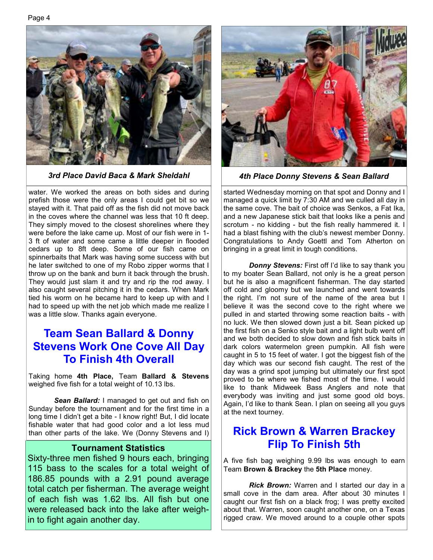

water. We worked the areas on both sides and during prefish those were the only areas I could get bit so we stayed with it. That paid off as the fish did not move back in the coves where the channel was less that 10 ft deep. They simply moved to the closest shorelines where they were before the lake came up. Most of our fish were in 1- 3 ft of water and some came a little deeper in flooded cedars up to 8ft deep. Some of our fish came on spinnerbaits that Mark was having some success with but he later switched to one of my Robo zipper worms that I throw up on the bank and burn it back through the brush. They would just slam it and try and rip the rod away. I also caught several pitching it in the cedars. When Mark tied his worm on he became hard to keep up with and I had to speed up with the net job which made me realize I was a little slow. Thanks again everyone.

### **Team Sean Ballard & Donny Stevens Work One Cove All Day To Finish 4th Overall**

Taking home **4th Place,** Team **Ballard & Stevens**  weighed five fish for a total weight of 10.13 lbs.

 *Sean Ballard:* I managed to get out and fish on Sunday before the tournament and for the first time in a long time I didn't get a bite - I know right! But, I did locate fishable water that had good color and a lot less mud than other parts of the lake. We (Donny Stevens and I)

#### **Tournament Statistics**

Sixty-three men fished 9 hours each, bringing 115 bass to the scales for a total weight of 186.85 pounds with a 2.91 pound average total catch per fisherman. The average weight of each fish was 1.62 lbs. All fish but one were released back into the lake after weighin to fight again another day.



*3rd Place David Baca & Mark Sheldahl 4th Place Donny Stevens & Sean Ballard* 

started Wednesday morning on that spot and Donny and I managed a quick limit by 7:30 AM and we culled all day in the same cove. The bait of choice was Senkos, a Fat Ika, and a new Japanese stick bait that looks like a penis and scrotum - no kidding - but the fish really hammered it. I had a blast fishing with the club's newest member Donny. Congratulations to Andy Goettl and Tom Atherton on bringing in a great limit in tough conditions.

*Donny Stevens: First off I'd like to say thank you* to my boater Sean Ballard, not only is he a great person but he is also a magnificent fisherman. The day started off cold and gloomy but we launched and went towards the right. I'm not sure of the name of the area but I believe it was the second cove to the right where we pulled in and started throwing some reaction baits - with no luck. We then slowed down just a bit. Sean picked up the first fish on a Senko style bait and a light bulb went off and we both decided to slow down and fish stick baits in dark colors watermelon green pumpkin. All fish were caught in 5 to 15 feet of water. I got the biggest fish of the day which was our second fish caught. The rest of the day was a grind spot jumping but ultimately our first spot proved to be where we fished most of the time. I would like to thank Midweek Bass Anglers and note that everybody was inviting and just some good old boys. Again, I'd like to thank Sean. I plan on seeing all you guys at the next tourney.

#### **Rick Brown & Warren Brackey Flip To Finish 5th**

A five fish bag weighing 9.99 lbs was enough to earn Team **Brown & Brackey** the **5th Place** money.

*Rick Brown:* Warren and I started our day in a small cove in the dam area. After about 30 minutes I caught our first fish on a black frog; I was pretty excited about that. Warren, soon caught another one, on a Texas rigged craw. We moved around to a couple other spots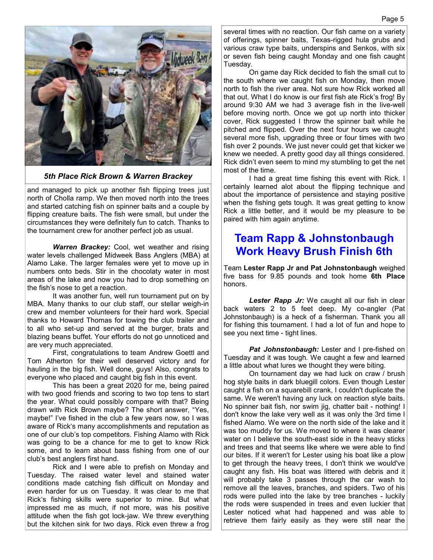

*5th Place Rick Brown & Warren Brackey* 

and managed to pick up another fish flipping trees just north of Cholla ramp. We then moved north into the trees and started catching fish on spinner baits and a couple by flipping creature baits. The fish were small, but under the circumstances they were definitely fun to catch. Thanks to the tournament crew for another perfect job as usual.

*Warren Brackey:* Cool, wet weather and rising water levels challenged Midweek Bass Anglers (MBA) at Alamo Lake. The larger females were yet to move up in numbers onto beds. Stir in the chocolaty water in most areas of the lake and now you had to drop something on the fish's nose to get a reaction.

 It was another fun, well run tournament put on by MBA. Many thanks to our club staff, our stellar weigh-in crew and member volunteers for their hard work. Special thanks to Howard Thomas for towing the club trailer and to all who set-up and served at the burger, brats and blazing beans buffet. Your efforts do not go unnoticed and are very much appreciated.

 First, congratulations to team Andrew Goettl and Tom Atherton for their well deserved victory and for hauling in the big fish. Well done, guys! Also, congrats to everyone who placed and caught big fish in this event.

 This has been a great 2020 for me, being paired with two good friends and scoring to two top tens to start the year. What could possibly compare with that? Being drawn with Rick Brown maybe? The short answer, "Yes, maybe!" I've fished in the club a few years now, so I was aware of Rick's many accomplishments and reputation as one of our club's top competitors. Fishing Alamo with Rick was going to be a chance for me to get to know Rick some, and to learn about bass fishing from one of our club's best anglers first hand.

 Rick and I were able to prefish on Monday and Tuesday. The raised water level and stained water conditions made catching fish difficult on Monday and even harder for us on Tuesday. It was clear to me that Rick's fishing skills were superior to mine. But what impressed me as much, if not more, was his positive attitude when the fish got lock-jaw. We threw everything but the kitchen sink for two days. Rick even threw a frog several times with no reaction. Our fish came on a variety of offerings, spinner baits, Texas-rigged hula grubs and various craw type baits, underspins and Senkos, with six or seven fish being caught Monday and one fish caught Tuesday.

 On game day Rick decided to fish the small cut to the south where we caught fish on Monday, then move north to fish the river area. Not sure how Rick worked all that out. What I do know is our first fish ate Rick's frog! By around 9:30 AM we had 3 average fish in the live-well before moving north. Once we got up north into thicker cover, Rick suggested I throw the spinner bait while he pitched and flipped. Over the next four hours we caught several more fish, upgrading three or four times with two fish over 2 pounds. We just never could get that kicker we knew we needed. A pretty good day all things considered. Rick didn't even seem to mind my stumbling to get the net most of the time.

 I had a great time fishing this event with Rick. I certainly learned alot about the flipping technique and about the importance of persistence and staying positive when the fishing gets tough. It was great getting to know Rick a little better, and it would be my pleasure to be paired with him again anytime.

### **Team Rapp & Johnstonbaugh Work Heavy Brush Finish 6th**

Team **Lester Rapp Jr and Pat Johnstonbaugh** weighed five bass for 9.85 pounds and took home **6th Place**  honors.

**Lester Rapp Jr:** We caught all our fish in clear back waters 2 to 5 feet deep. My co-angler (Pat Johnstonbaugh) is a heck of a fisherman. Thank you all for fishing this tournament. I had a lot of fun and hope to see you next time - tight lines.

 *Pat Johnstonbaugh:* Lester and I pre-fished on Tuesday and it was tough. We caught a few and learned a little about what lures we thought they were biting.

 On tournament day we had luck on craw / brush hog style baits in dark bluegill colors. Even though Lester caught a fish on a squarebill crank, I couldn't duplicate the same. We weren't having any luck on reaction style baits. No spinner bait fish, nor swim jig, chatter bait - nothing! I don't know the lake very well as it was only the 3rd time I fished Alamo. We were on the north side of the lake and it was too muddy for us. We moved to where it was clearer water on I believe the south-east side in the heavy sticks and trees and that seems like where we were able to find our bites. If it weren't for Lester using his boat like a plow to get through the heavy trees, I don't think we would've caught any fish. His boat was littered with debris and it will probably take 3 passes through the car wash to remove all the leaves, branches, and spiders. Two of his rods were pulled into the lake by tree branches - luckily the rods were suspended in trees and even luckier that Lester noticed what had happened and was able to retrieve them fairly easily as they were still near the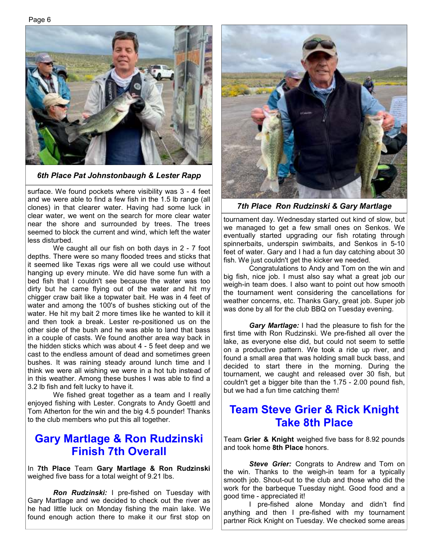

*6th Place Pat Johnstonbaugh & Lester Rapp* 

surface. We found pockets where visibility was 3 - 4 feet and we were able to find a few fish in the 1.5 lb range (all clones) in that clearer water. Having had some luck in clear water, we went on the search for more clear water near the shore and surrounded by trees. The trees seemed to block the current and wind, which left the water less disturbed.

 We caught all our fish on both days in 2 - 7 foot depths. There were so many flooded trees and sticks that it seemed like Texas rigs were all we could use without hanging up every minute. We did have some fun with a bed fish that I couldn't see because the water was too dirty but he came flying out of the water and hit my chigger craw bait like a topwater bait. He was in 4 feet of water and among the 100's of bushes sticking out of the water. He hit my bait 2 more times like he wanted to kill it and then took a break. Lester re-positioned us on the other side of the bush and he was able to land that bass in a couple of casts. We found another area way back in the hidden sticks which was about 4 - 5 feet deep and we cast to the endless amount of dead and sometimes green bushes. It was raining steady around lunch time and I think we were all wishing we were in a hot tub instead of in this weather. Among these bushes I was able to find a 3.2 lb fish and felt lucky to have it.

We fished great together as a team and I really enjoyed fishing with Lester. Congrats to Andy Goettl and Tom Atherton for the win and the big 4.5 pounder! Thanks to the club members who put this all together.

#### **Gary Martlage & Ron Rudzinski Finish 7th Overall**

In **7th Place** Team **Gary Martlage & Ron Rudzinski**  weighed five bass for a total weight of 9.21 lbs.

 *Ron Rudzinski:* I pre-fished on Tuesday with Gary Martlage and we decided to check out the river as he had little luck on Monday fishing the main lake. We found enough action there to make it our first stop on



*7th Place Ron Rudzinski & Gary Martlage* 

tournament day. Wednesday started out kind of slow, but we managed to get a few small ones on Senkos. We eventually started upgrading our fish rotating through spinnerbaits, underspin swimbaits, and Senkos in 5-10 feet of water. Gary and I had a fun day catching about 30 fish. We just couldn't get the kicker we needed.

 Congratulations to Andy and Tom on the win and big fish, nice job. I must also say what a great job our weigh-in team does. I also want to point out how smooth the tournament went considering the cancellations for weather concerns, etc. Thanks Gary, great job. Super job was done by all for the club BBQ on Tuesday evening.

 *Gary Martlage:* I had the pleasure to fish for the first time with Ron Rudzinski. We pre-fished all over the lake, as everyone else did, but could not seem to settle on a productive pattern. We took a ride up river, and found a small area that was holding small buck bass, and decided to start there in the morning. During the tournament, we caught and released over 30 fish, but couldn't get a bigger bite than the 1.75 - 2.00 pound fish, but we had a fun time catching them!

### **Team Steve Grier & Rick Knight Take 8th Place**

Team **Grier & Knight** weighed five bass for 8.92 pounds and took home **8th Place** honors.

**Steve Grier:** Congrats to Andrew and Tom on the win. Thanks to the weigh-in team for a typically smooth job. Shout-out to the club and those who did the work for the barbeque Tuesday night. Good food and a good time - appreciated it!

 I pre-fished alone Monday and didn't find anything and then I pre-fished with my tournament partner Rick Knight on Tuesday. We checked some areas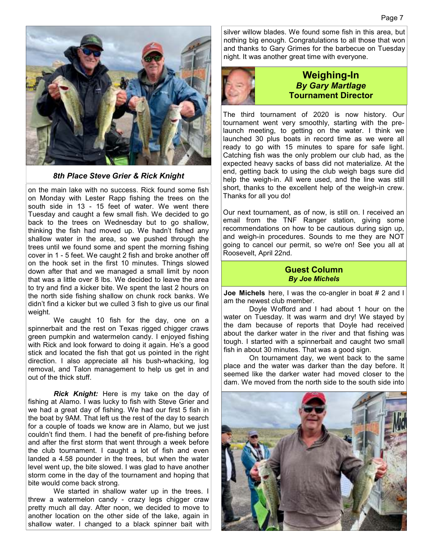

*8th Place Steve Grier & Rick Knight* 

on the main lake with no success. Rick found some fish on Monday with Lester Rapp fishing the trees on the south side in 13 - 15 feet of water. We went there Tuesday and caught a few small fish. We decided to go back to the trees on Wednesday but to go shallow, thinking the fish had moved up. We hadn't fished any shallow water in the area, so we pushed through the trees until we found some and spent the morning fishing cover in 1 - 5 feet. We caught 2 fish and broke another off on the hook set in the first 10 minutes. Things slowed down after that and we managed a small limit by noon that was a little over 8 lbs. We decided to leave the area to try and find a kicker bite. We spent the last 2 hours on the north side fishing shallow on chunk rock banks. We didn't find a kicker but we culled 3 fish to give us our final weight.

 We caught 10 fish for the day, one on a spinnerbait and the rest on Texas rigged chigger craws green pumpkin and watermelon candy. I enjoyed fishing with Rick and look forward to doing it again. He's a good stick and located the fish that got us pointed in the right direction. I also appreciate all his bush-whacking, log removal, and Talon management to help us get in and out of the thick stuff.

 *Rick Knight:* Here is my take on the day of fishing at Alamo. I was lucky to fish with Steve Grier and we had a great day of fishing. We had our first 5 fish in the boat by 9AM. That left us the rest of the day to search for a couple of toads we know are in Alamo, but we just couldn't find them. I had the benefit of pre-fishing before and after the first storm that went through a week before the club tournament. I caught a lot of fish and even landed a 4.58 pounder in the trees, but when the water level went up, the bite slowed. I was glad to have another storm come in the day of the tournament and hoping that bite would come back strong.

We started in shallow water up in the trees. I threw a watermelon candy - crazy legs chigger craw pretty much all day. After noon, we decided to move to another location on the other side of the lake, again in shallow water. I changed to a black spinner bait with silver willow blades. We found some fish in this area, but nothing big enough. Congratulations to all those that won and thanks to Gary Grimes for the barbecue on Tuesday night. It was another great time with everyone.



#### **Weighing-In**  *By Gary Martlage*  **Tournament Director**

The third tournament of 2020 is now history. Our tournament went very smoothly, starting with the prelaunch meeting, to getting on the water. I think we launched 30 plus boats in record time as we were all ready to go with 15 minutes to spare for safe light. Catching fish was the only problem our club had, as the expected heavy sacks of bass did not materialize. At the end, getting back to using the club weigh bags sure did help the weigh-in. All were used, and the line was still short, thanks to the excellent help of the weigh-in crew. Thanks for all you do!

Our next tournament, as of now, is still on. I received an email from the TNF Ranger station, giving some recommendations on how to be cautious during sign up, and weigh-in procedures. Sounds to me they are NOT going to cancel our permit, so we're on! See you all at Roosevelt, April 22nd.

#### **Guest Column**  *By Joe Michels*

**Joe Michels** here, I was the co-angler in boat # 2 and I am the newest club member.

 Doyle Wofford and I had about 1 hour on the water on Tuesday. It was warm and dry! We stayed by the dam because of reports that Doyle had received about the darker water in the river and that fishing was tough. I started with a spinnerbait and caught two small fish in about 30 minutes. That was a good sign.

 On tournament day, we went back to the same place and the water was darker than the day before. It seemed like the darker water had moved closer to the dam. We moved from the north side to the south side into

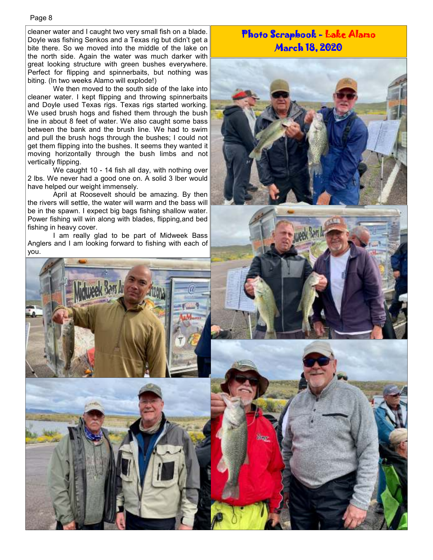cleaner water and I caught two very small fish on a blade. Doyle was fishing Senkos and a Texas rig but didn't get a bite there. So we moved into the middle of the lake on the north side. Again the water was much darker with great looking structure with green bushes everywhere. Perfect for flipping and spinnerbaits, but nothing was biting. (In two weeks Alamo will explode!)

 We then moved to the south side of the lake into cleaner water. I kept flipping and throwing spinnerbaits and Doyle used Texas rigs. Texas rigs started working. We used brush hogs and fished them through the bush line in about 8 feet of water. We also caught some bass between the bank and the brush line. We had to swim and pull the brush hogs through the bushes; I could not get them flipping into the bushes. It seems they wanted it moving horizontally through the bush limbs and not vertically flipping.

 We caught 10 - 14 fish all day, with nothing over 2 lbs. We never had a good one on. A solid 3 lber would have helped our weight immensely.

 April at Roosevelt should be amazing. By then the rivers will settle, the water will warm and the bass will be in the spawn. I expect big bags fishing shallow water. Power fishing will win along with blades, flipping,and bed fishing in heavy cover.

 I am really glad to be part of Midweek Bass Anglers and I am looking forward to fishing with each of you.



#### Photo Scrapbook - Lake Alamo March 18, 2020